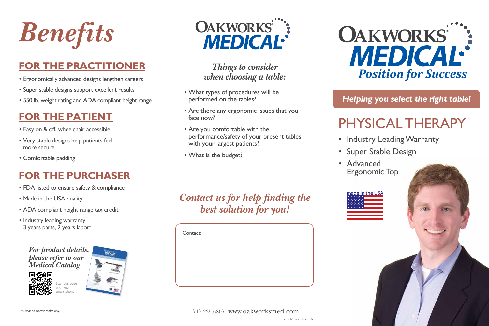

### **FOR THE PRACTITIONER**

- Ergonomically advanced designs lengthen careers
- Super stable designs support excellent results
- 550 lb. weight rating and ADA compliant height range

### **FOR THE PATIENT**

- Easy on & off, wheelchair accessible
- • Very stable designs help patients feel more secure
- • Comfortable padding

## **FOR THE PURCHASER**

- FDA listed to ensure safety & compliance
- Made in the USA quality
- • ADA compliant height range tax credit
- Industry leading warranty 3 years parts, 2 years labor\*

*For product details, please refer to our Medical Catalog*





ican this code with your

smart phone







*Things to consider when choosing a table:*

- What types of procedures will be performed on the tables?
- Are there any ergonomic issues that you face now?
- Are you comfortable with the performance/safety of your present tables with your largest patients?
- What is the budget?

# *Contact us for help finding the best solution for you!*

Contact:





*Helping you select the right table!*

# physical therapy

- Industry Leading Warranty
- • Super Stable Design
- • Advanced Ergonomic Top